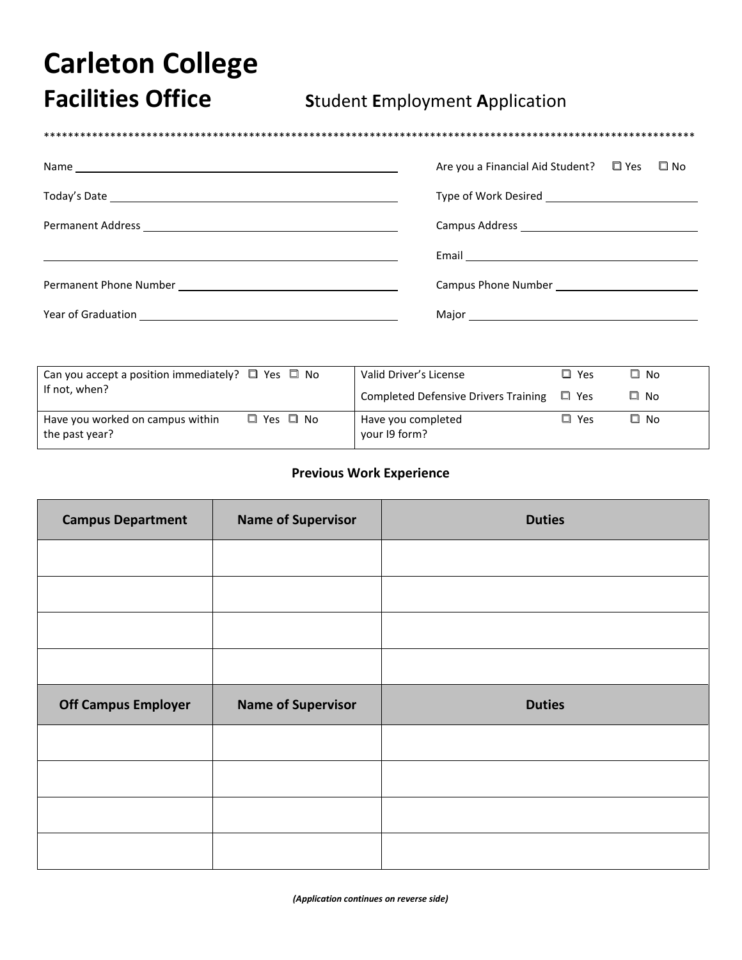## **Carleton College**

**Facilities Office** 

## **Student Employment Application**

|  | Are you a Financial Aid Student? $\Box$ Yes $\Box$ No |  |
|--|-------------------------------------------------------|--|
|  |                                                       |  |
|  |                                                       |  |
|  |                                                       |  |
|  |                                                       |  |
|  |                                                       |  |

| Can you accept a position immediately? $\Box$ Yes $\Box$ No                      | Valid Driver's License                      | $\square$ Yes | □ No         |
|----------------------------------------------------------------------------------|---------------------------------------------|---------------|--------------|
| If not, when?                                                                    | <b>Completed Defensive Drivers Training</b> | ∟ Yes         | $\Box$ No    |
| $\square$ Yes $\square$ No<br>Have you worked on campus within<br>the past year? | Have you completed<br>your 19 form?         | $\Box$ Yes    | $\square$ No |

## **Previous Work Experience**

| <b>Campus Department</b>   | <b>Name of Supervisor</b> | <b>Duties</b> |
|----------------------------|---------------------------|---------------|
|                            |                           |               |
|                            |                           |               |
|                            |                           |               |
|                            |                           |               |
|                            |                           |               |
| <b>Off Campus Employer</b> | <b>Name of Supervisor</b> | <b>Duties</b> |
|                            |                           |               |
|                            |                           |               |
|                            |                           |               |